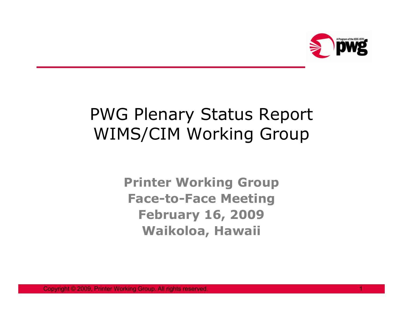

# PWG Plenary Status ReportWIMS/CIM Working Group

**Printer Working Group Face-to-Face MeetingFebruary 16, 2009Waikoloa, Hawaii**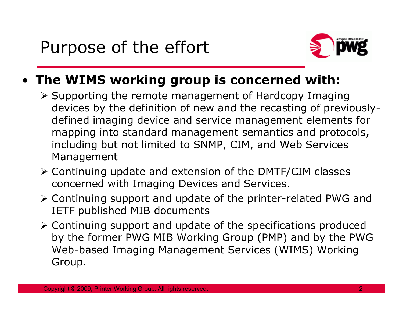

## • **The WIMS working group is concerned with:**

- Supporting the remote management of Hardcopy Imaging<br>dovises by the definition of new and the respeting of provis devices by the definition of new and the recasting of previouslydefined imaging device and service management elements for mapping into standard management semantics and protocols, including but not limited to SNMP, CIM, and Web Services Management
- > Continuing update and extension of the DMTF/CIM classes concerned with Imaging Devices and Services.
- > Continuing support and update of the printer-related PWG and<br>FETE published MIP documents IETF published MIB documents
- > Continuing support and update of the specifications produced<br>hy the fermer PWG MIB Werking Group (PMP) and by the PWG by the former PWG MIB Working Group (PMP) and by the PWG Web-based Imaging Management Services (WIMS) Working Group.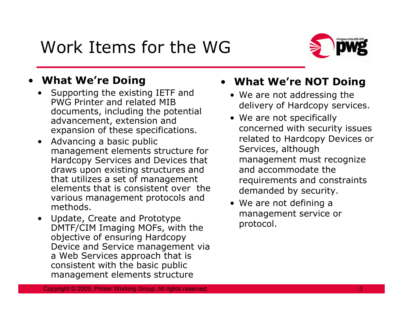# Work Items for the WG



### •**What We're Doing**

- Supporting the existing IETF and<br>PWG Printer and related MIB PWG Printer and related MIB documents, including the potential advancement, extension and expansion of these specifications.
- Advancing a basic public management elements structure for Hardcopy Services and Devices that draws upon existing structures and that utilizes a set of management elements that is consistent over the various management protocols and methods.
- Update, Create and Prototype Update, Create and Prototype DMTF/CIM Imaging MOFs, with the objective of ensuring Hardcopy Device and Service management via a Web Services approach that is consistent with the basic public management elements structure

### • **What We're NOT Doing**

- We are not addressing the delivery of Hardcopy services.
- We are not specifically<br>concerned with security concerned with security issues related to Hardcopy Devices or Services, although management must recognize and accommodate the requirements and constraints demanded by security.
- We are not defining a management service or protocol.

Copyright © 2009, Printer Working Group. All rights reserved.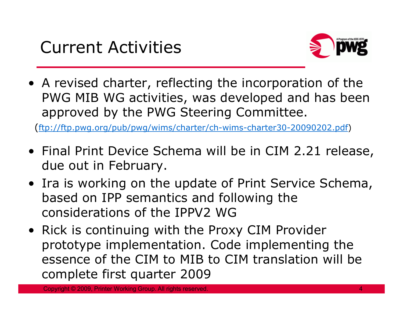

• A revised charter, reflecting the incorporation of the<br>PWG MIB WG activities, was developed and has heer PWG MIB WG activities, was developed and has been approved by the PWG Steering Committee.

(ftp://ftp.pwg.org/pub/pwg/wims/charter/ch-wims-charter30-20090202.pdf)

- Final Print Device Schema will be in CIM 2.21 release, due out in February.
- Ira is working on the update of Print Service Schema,<br>• hased on IPP semantics and following the based on IPP semantics and following the considerations of the IPPV2 WG
- Rick is continuing with the Proxy CIM Provider prototype implementation. Code implementing the essence of the CIM to MIB to CIM translation will be complete first quarter 2009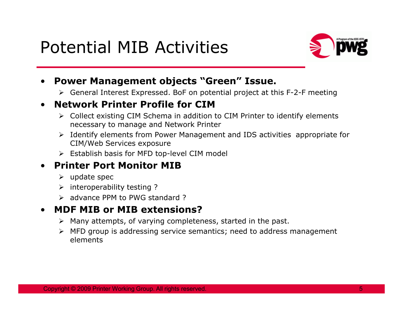## Potential MIB Activities



- • **Power Management objects "Green" Issue.**
	- General Interest Expressed. BoF on potential project at this F-2-F meeting

### •**Network Printer Profile for CIM**

- > Collect existing CIM Schema in addition to CIM Printer to identify elements necessary to manage and Network Printer
- Identify elements from Power Management and IDS activities appropriate for <br>CIM/Web Services avassure CIM/Web Services exposure
- Establish basis for MFD top-level CIM model

#### •**Printer Port Monitor MIB**

- > update spec
- interoperability testing ?
- advance PPM to PWG standard ?

#### •**MDF MIB or MIB extensions?**

- > Many attempts, of varying completeness, started in the past.
- > MFD group is addressing service semantics; need to address management elements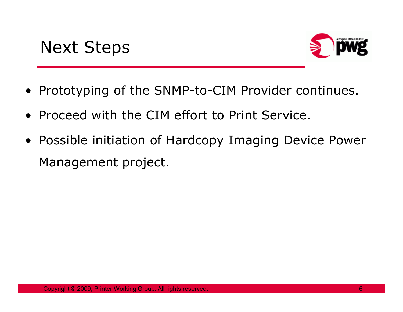

- $\bullet$ Prototyping of the SNMP-to-CIM Provider continues.
- Proceed with the CIM effort to Print Service.
- Possible initiation of Hardcopy Imaging Device Power Management project.